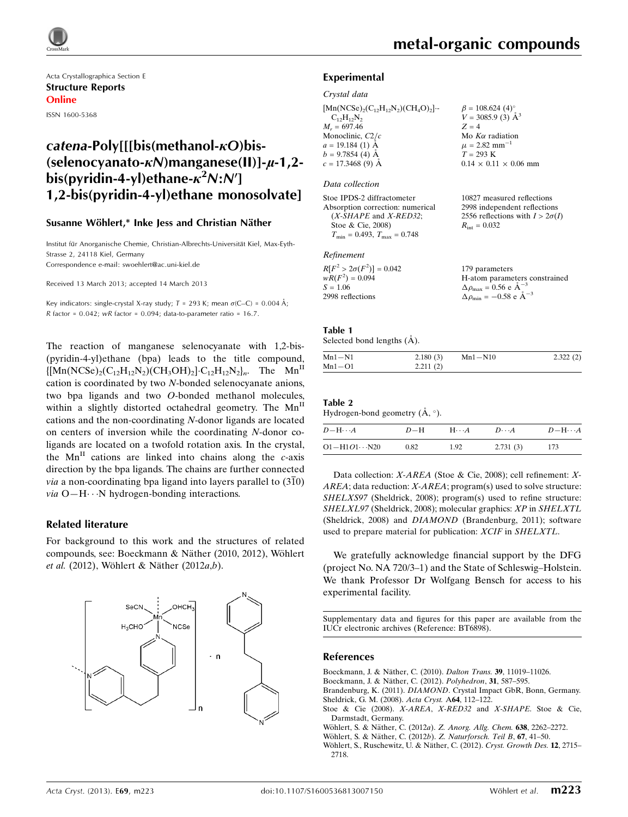

Acta Crystallographica Section E Structure Reports Online ISSN 1600-5368

# $\textit{catena-Polv}$ [[[bis(methanol- $\kappa$ O)bis-(selenocyanato- $\kappa$ N)manganese(II)]- $\mu$ -1,2bis(pyridin-4-yl)ethane- $\kappa^2$ N:N'] 1,2-bis(pyridin-4-yl)ethane monosolvate]

#### Susanne Wöhlert,\* Inke Jess and Christian Näther

Institut für Anorganische Chemie, Christian-Albrechts-Universität Kiel, Max-Eyth-Strasse 2, 24118 Kiel, Germany Correspondence e-mail: [swoehlert@ac.uni-kiel.de](https://scripts.iucr.org/cgi-bin/cr.cgi?rm=pdfbb&cnor=bt6898&bbid=BB8)

Received 13 March 2013; accepted 14 March 2013

Key indicators: single-crystal X-ray study;  $T = 293$  K; mean  $\sigma$ (C–C) = 0.004 Å; R factor =  $0.042$ ; wR factor =  $0.094$ ; data-to-parameter ratio =  $16.7$ .

The reaction of manganese selenocyanate with 1,2-bis- (pyridin-4-yl)ethane (bpa) leads to the title compound,  $\{[Mn(NCSe)_2(C_{12}H_{12}N_2)(CH_3OH)_2]\cdot C_{12}H_{12}N_2\}_n$ . The  $Mn$ <sup>II</sup> cation is coordinated by two N-bonded selenocyanate anions, two bpa ligands and two O-bonded methanol molecules, within a slightly distorted octahedral geometry. The Mn<sup>II</sup> cations and the non-coordinating N-donor ligands are located on centers of inversion while the coordinating N-donor coligands are located on a twofold rotation axis. In the crystal, the  $Mn$ <sup>II</sup> cations are linked into chains along the  $c$ -axis direction by the bpa ligands. The chains are further connected *via* a non-coordinating bpa ligand into layers parallel to  $(3\overline{1}0)$ via O-H···N hydrogen-bonding interactions.

#### Related literature

For background to this work and the structures of related compounds, see: Boeckmann & Näther (2010, 2012), Wöhlert et al. (2012), Wöhlert & Näther (2012 $a,b$ ).



10827 measured reflections 2998 independent reflections 2556 reflections with  $I > 2\sigma(I)$ 

 $2.322(2)$ 

 $R_{\text{int}} = 0.032$ 

#### Experimental

#### Crystal data

| $[{\rm Mn(NCSe})_2(C_{12}H_{12}N_2)(CH_4O)_2]$ . |                                                           |
|--------------------------------------------------|-----------------------------------------------------------|
| $C_{12}H_{12}N_2$                                | $\beta$ = 108.624 (4)°<br>$V = 3085.9$ (3) Å <sup>3</sup> |
| $M_r = 697.46$                                   | $Z = 4$                                                   |
| Monoclinic, $C2/c$                               | Mo $K\alpha$ radiation                                    |
| $a = 19.184$ (1) $\AA$                           | $\mu = 2.82$ mm <sup>-1</sup>                             |
| $b = 9.7854(4)$ Å                                | $T = 293 K$                                               |
| $c = 17.3468(9)$ Å                               | $0.14 \times 0.11 \times 0.06$ mm                         |
|                                                  |                                                           |

#### Data collection

| Stoe IPDS-2 diffractometer                       |
|--------------------------------------------------|
| Absorption correction: numerical                 |
| $(X-SHAPE$ and $X-RED32$ ;                       |
| Stoe & Cie, 2008)                                |
| $T_{\text{min}} = 0.493, T_{\text{max}} = 0.748$ |

#### Refinement

| $R[F^2 > 2\sigma(F^2)] = 0.042$ | 179 parameters                                     |
|---------------------------------|----------------------------------------------------|
| $wR(F^2) = 0.094$               | H-atom parameters constrained                      |
| $S = 1.06$                      | $\Delta \rho_{\text{max}} = 0.56 \text{ e A}^{-3}$ |
| 2998 reflections                | $\Delta \rho_{\text{min}} = -0.58$ e $\AA^{-3}$    |

#### Table 1

| Selected bond lengths $(\tilde{A})$ . |          |             |  |
|---------------------------------------|----------|-------------|--|
| $Mn1-N1$                              | 2.180(3) | $Mn1 - N10$ |  |
| $Mn1 - O1$                            | 2.211(2) |             |  |

| Table 2 |  |  |  |
|---------|--|--|--|
|         |  |  |  |

| Hydrogen-bond geometry $(A, \circ)$ . |  |  |
|---------------------------------------|--|--|
|                                       |  |  |

| $D - H \cdots A$       | $D-H$ | $H\cdots A$ | $D\cdots A$ | $D-H\cdots A$ |
|------------------------|-------|-------------|-------------|---------------|
| $O1 - H1O1 \cdots N20$ | 0.82  | 1.92        | 2.731(3)    | 173           |

Data collection: X-AREA (Stoe & Cie, 2008); cell refinement: X-AREA; data reduction: X-AREA; program(s) used to solve structure: SHELXS97 (Sheldrick, 2008); program(s) used to refine structure: SHELXL97 (Sheldrick, 2008); molecular graphics: XP in SHELXTL (Sheldrick, 2008) and DIAMOND (Brandenburg, 2011); software used to prepare material for publication: XCIF in SHELXTL.

We gratefully acknowledge financial support by the DFG (project No. NA 720/3–1) and the State of Schleswig–Holstein. We thank Professor Dr Wolfgang Bensch for access to his experimental facility.

Supplementary data and figures for this paper are available from the IUCr electronic archives (Reference: BT6898).

#### References

- Boeckmann, J. & Näther, C. (2010). Dalton Trans. 39, 11019-11026.
- Boeckmann, J. & Näther, C. (2012). Polyhedron, 31, 587-595.
- Brandenburg, K. (2011). DIAMOND[. Crystal Impact GbR, Bonn, Germany.](https://scripts.iucr.org/cgi-bin/cr.cgi?rm=pdfbb&cnor=bt6898&bbid=BB3) [Sheldrick, G. M. \(2008\).](https://scripts.iucr.org/cgi-bin/cr.cgi?rm=pdfbb&cnor=bt6898&bbid=BB4) Acta Cryst. A64, 112–122.
- [Stoe & Cie \(2008\).](https://scripts.iucr.org/cgi-bin/cr.cgi?rm=pdfbb&cnor=bt6898&bbid=BB5) X-AREA, X-RED32 and X-SHAPE. Stoe & Cie, [Darmstadt, Germany.](https://scripts.iucr.org/cgi-bin/cr.cgi?rm=pdfbb&cnor=bt6898&bbid=BB5)
- Wöhlert, S. & Näther, C. (2012a). Z. Anorg. Allg. Chem. 638, 2262-2272.
- Wöhlert, S. & Näther, C. (2012b). Z. Naturforsch. Teil B, 67, 41-50.

Wöhlert, S., Ruschewitz, U. & Näther, C. (2012). Cryst. Growth Des. 12, 2715– [2718.](https://scripts.iucr.org/cgi-bin/cr.cgi?rm=pdfbb&cnor=bt6898&bbid=BB8)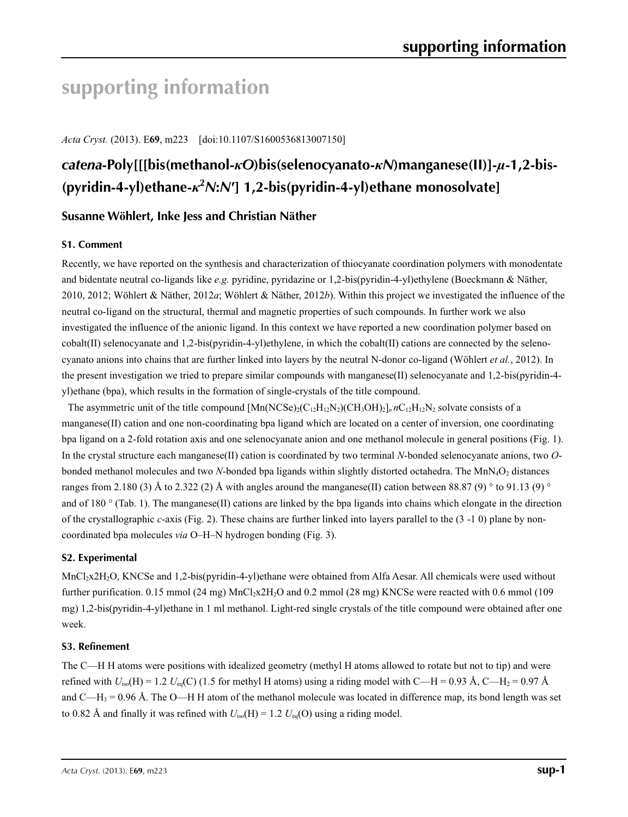# **supporting information**

*Acta Cryst.* (2013). E**69**, m223 [doi:10.1107/S1600536813007150]

# *catena***-Poly[[[bis(methanol-***κO***)bis(selenocyanato-***κN***)manganese(II)]-***µ***-1,2-bis- (pyridin-4-yl)ethane-***κ***<sup>2</sup>** *N***:***N***′] 1,2-bis(pyridin-4-yl)ethane monosolvate]**

## **Susanne Wöhlert, Inke Jess and Christian Näther**

## **S1. Comment**

Recently, we have reported on the synthesis and characterization of thiocyanate coordination polymers with monodentate and bidentate neutral co-ligands like *e.g.* pyridine, pyridazine or 1,2-bis(pyridin-4-yl)ethylene (Boeckmann & Näther, 2010, 2012; Wöhlert & Näther, 2012*a*; Wöhlert & Näther, 2012*b*). Within this project we investigated the influence of the neutral co-ligand on the structural, thermal and magnetic properties of such compounds. In further work we also investigated the influence of the anionic ligand. In this context we have reported a new coordination polymer based on cobalt(II) selenocyanate and 1,2-bis(pyridin-4-yl)ethylene, in which the cobalt(II) cations are connected by the selenocyanato anions into chains that are further linked into layers by the neutral N-donor co-ligand (Wöhlert *et al.*, 2012). In the present investigation we tried to prepare similar compounds with manganese(II) selenocyanate and 1,2-bis(pyridin-4 yl)ethane (bpa), which results in the formation of single-crystals of the title compound.

The asymmetric unit of the title compound  $[Mn(NCSe)_2(C_{12}H_{12}N_2)(CH_3OH)_2]_n nC_{12}H_{12}N_2$  solvate consists of a manganese(II) cation and one non-coordinating bpa ligand which are located on a center of inversion, one coordinating bpa ligand on a 2-fold rotation axis and one selenocyanate anion and one methanol molecule in general positions (Fig. 1). In the crystal structure each manganese(II) cation is coordinated by two terminal *N*-bonded selenocyanate anions, two *O*bonded methanol molecules and two *N*-bonded bpa ligands within slightly distorted octahedra. The MnN<sub>4</sub>O<sub>2</sub> distances ranges from 2.180 (3) Å to 2.322 (2) Å with angles around the manganese(II) cation between 88.87 (9)  $\degree$  to 91.13 (9)  $\degree$ and of 180  $\degree$  (Tab. 1). The manganese (II) cations are linked by the bpa ligands into chains which elongate in the direction of the crystallographic *c*-axis (Fig. 2). These chains are further linked into layers parallel to the (3 -1 0) plane by noncoordinated bpa molecules *via* O–H–N hydrogen bonding (Fig. 3).

### **S2. Experimental**

MnCl<sub>2</sub>x2H<sub>2</sub>O, KNCSe and 1,2-bis(pyridin-4-yl)ethane were obtained from Alfa Aesar. All chemicals were used without further purification. 0.15 mmol  $(24 \text{ mg})$  MnCl<sub>2</sub>x2H<sub>2</sub>O and 0.2 mmol  $(28 \text{ mg})$  KNCSe were reacted with 0.6 mmol  $(109 \text{ g})$ mg) 1,2-bis(pyridin-4-yl)ethane in 1 ml methanol. Light-red single crystals of the title compound were obtained after one week.

#### **S3. Refinement**

The C—H H atoms were positions with idealized geometry (methyl H atoms allowed to rotate but not to tip) and were refined with  $U_{iso}(H) = 1.2 U_{eq}(C)$  (1.5 for methyl H atoms) using a riding model with C—H = 0.93 Å, C—H<sub>2</sub> = 0.97 Å and C—H<sub>3</sub> = 0.96 Å. The O—H H atom of the methanol molecule was located in difference map, its bond length was set to 0.82 Å and finally it was refined with  $U_{iso}(H) = 1.2 U_{eq}(O)$  using a riding model.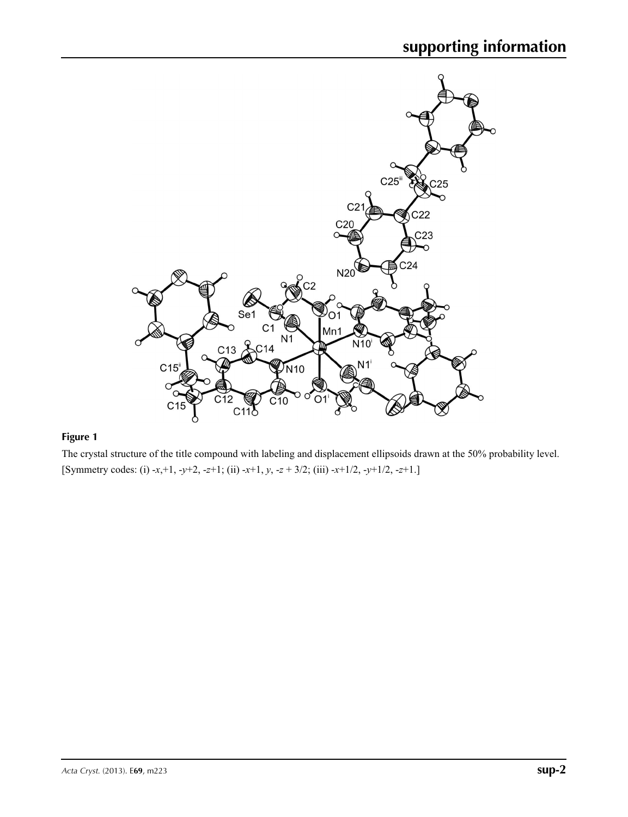

## **Figure 1**

The crystal structure of the title compound with labeling and displacement ellipsoids drawn at the 50% probability level. [Symmetry codes: (i) -*x*,+1, -*y*+2, -*z*+1; (ii) -*x*+1, *y*, -*z* + 3/2; (iii) -*x*+1/2, -*y*+1/2, -*z*+1.]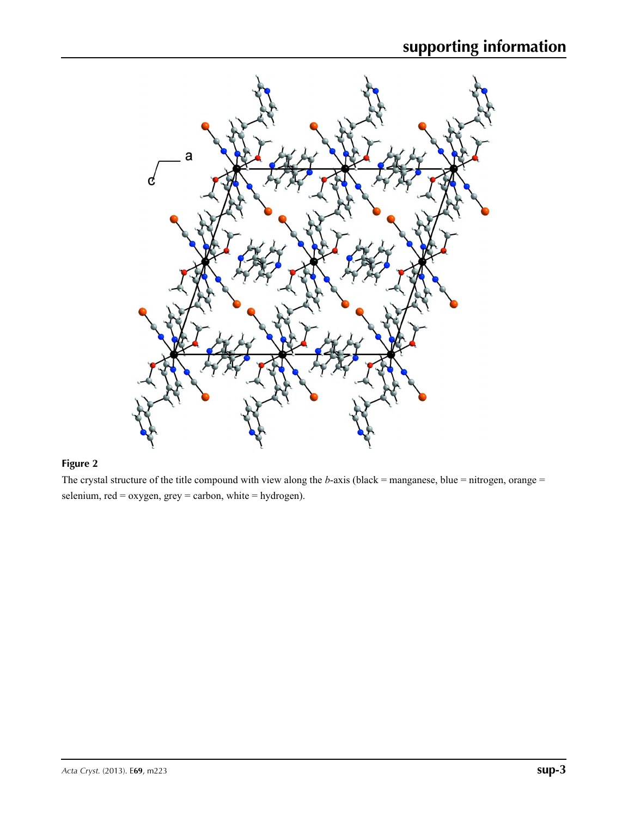

## **Figure 2**

The crystal structure of the title compound with view along the *b*-axis (black = manganese, blue = nitrogen, orange = selenium, red = oxygen, grey = carbon, white = hydrogen).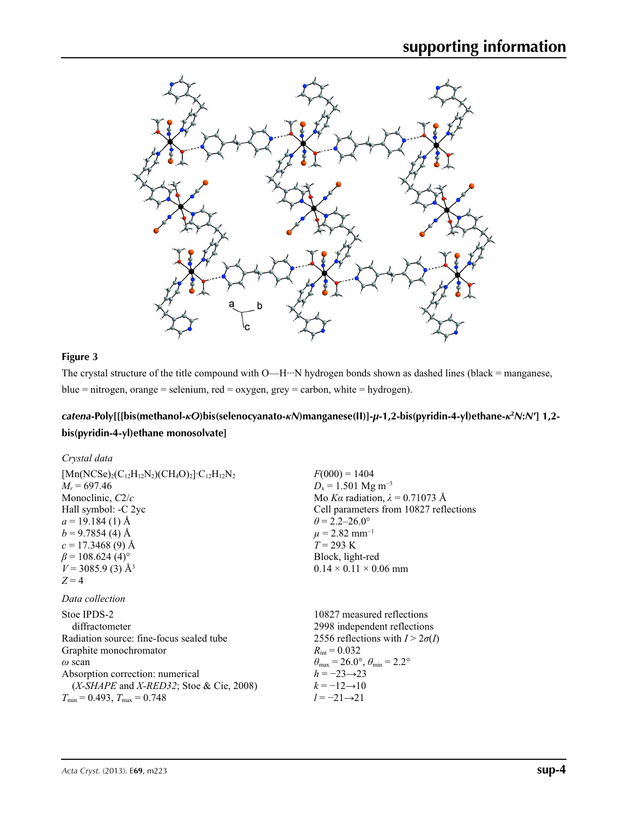

## **Figure 3**

The crystal structure of the title compound with O—H···N hydrogen bonds shown as dashed lines (black = manganese, blue = nitrogen, orange = selenium, red = oxygen, grey = carbon, white = hydrogen).

## catena-Poly[[[bis(methanol-*kO*)bis(selenocyanato-*kN*)manganese(II)]-µ-1,2-bis(pyridin-4-yl)ethane-*k*<sup>2</sup>N:N'] 1,2**bis(pyridin-4-yl)ethane monosolvate]**

| Crystal data                                                          |                                                       |
|-----------------------------------------------------------------------|-------------------------------------------------------|
| $[{\rm Mn(NCSe)_2(C_{12}H_{12}N_2)(CH_4O)_2}$ $\cdot C_{12}H_{12}N_2$ | $F(000) = 1404$                                       |
| $M_r = 697.46$                                                        | $D_x = 1.501$ Mg m <sup>-3</sup>                      |
| Monoclinic, $C2/c$                                                    | Mo Ka radiation, $\lambda = 0.71073$ Å                |
| Hall symbol: -C 2yc                                                   | Cell parameters from 10827 reflections                |
| $a = 19.184(1)$ Å                                                     | $\theta$ = 2.2–26.0°                                  |
| $b = 9.7854(4)$ Å                                                     | $\mu$ = 2.82 mm <sup>-1</sup>                         |
| $c = 17.3468(9)$ Å                                                    | $T = 293 \text{ K}$                                   |
| $\beta$ = 108.624 (4) <sup>o</sup>                                    | Block, light-red                                      |
| $V = 3085.9$ (3) Å <sup>3</sup>                                       | $0.14 \times 0.11 \times 0.06$ mm                     |
| $Z = 4$                                                               |                                                       |
| Data collection                                                       |                                                       |
| Stoe IPDS-2                                                           | 10827 measured reflections                            |
| diffractometer                                                        | 2998 independent reflections                          |
| Radiation source: fine-focus sealed tube                              | 2556 reflections with $I > 2\sigma(I)$                |
| Graphite monochromator                                                | $R_{\text{int}} = 0.032$                              |
| $\omega$ scan                                                         | $\theta_{\rm max}$ = 26.0°, $\theta_{\rm min}$ = 2.2° |
| Absorption correction: numerical                                      | $h = -23 \rightarrow 23$                              |
| (X-SHAPE and X-RED32; Stoe & Cie, 2008)                               | $k = -12 \rightarrow 10$                              |
| $T_{\min}$ = 0.493, $T_{\max}$ = 0.748                                | $l = -21 \rightarrow 21$                              |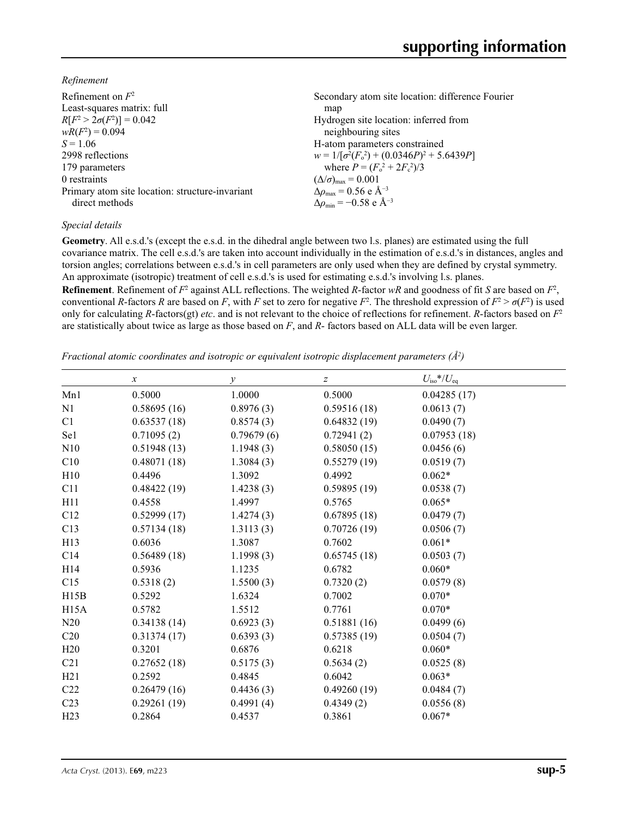*Refinement*

| Refinement on $F^2$                             | Secondary atom site location: difference Fourier  |
|-------------------------------------------------|---------------------------------------------------|
| Least-squares matrix: full                      | map                                               |
| $R[F^2 > 2\sigma(F^2)] = 0.042$                 | Hydrogen site location: inferred from             |
| $wR(F^2) = 0.094$                               | neighbouring sites                                |
| $S = 1.06$                                      | H-atom parameters constrained                     |
| 2998 reflections                                | $w = 1/[\sigma^2(F_0^2) + (0.0346P)^2 + 5.6439P]$ |
| 179 parameters                                  | where $P = (F_0^2 + 2F_c^2)/3$                    |
| 0 restraints                                    | $(\Delta/\sigma)_{\text{max}} = 0.001$            |
| Primary atom site location: structure-invariant | $\Delta \rho_{\rm max} = 0.56$ e Å <sup>-3</sup>  |
| direct methods                                  | $\Delta \rho_{\rm min} = -0.58$ e Å <sup>-3</sup> |

### *Special details*

**Geometry**. All e.s.d.'s (except the e.s.d. in the dihedral angle between two l.s. planes) are estimated using the full covariance matrix. The cell e.s.d.'s are taken into account individually in the estimation of e.s.d.'s in distances, angles and torsion angles; correlations between e.s.d.'s in cell parameters are only used when they are defined by crystal symmetry. An approximate (isotropic) treatment of cell e.s.d.'s is used for estimating e.s.d.'s involving l.s. planes.

**Refinement**. Refinement of  $F^2$  against ALL reflections. The weighted *R*-factor  $wR$  and goodness of fit *S* are based on  $F^2$ , conventional *R*-factors *R* are based on *F*, with *F* set to zero for negative  $F^2$ . The threshold expression of  $F^2 > \sigma(F^2)$  is used only for calculating *R*-factors(gt) *etc*. and is not relevant to the choice of reflections for refinement. *R*-factors based on *F*<sup>2</sup> are statistically about twice as large as those based on *F*, and *R*- factors based on ALL data will be even larger.

*Fractional atomic coordinates and isotropic or equivalent isotropic displacement parameters (Å<sup>2</sup>)* 

|                 | $\boldsymbol{x}$ | $\mathcal{Y}$ | z           | $U_{\rm iso}*/U_{\rm eq}$ |
|-----------------|------------------|---------------|-------------|---------------------------|
| Mn1             | 0.5000           | 1.0000        | 0.5000      | 0.04285(17)               |
| N1              | 0.58695(16)      | 0.8976(3)     | 0.59516(18) | 0.0613(7)                 |
| C1              | 0.63537(18)      | 0.8574(3)     | 0.64832(19) | 0.0490(7)                 |
| Se1             | 0.71095(2)       | 0.79679(6)    | 0.72941(2)  | 0.07953(18)               |
| N10             | 0.51948(13)      | 1.1948(3)     | 0.58050(15) | 0.0456(6)                 |
| C10             | 0.48071(18)      | 1.3084(3)     | 0.55279(19) | 0.0519(7)                 |
| H10             | 0.4496           | 1.3092        | 0.4992      | $0.062*$                  |
| C11             | 0.48422(19)      | 1.4238(3)     | 0.59895(19) | 0.0538(7)                 |
| H11             | 0.4558           | 1.4997        | 0.5765      | $0.065*$                  |
| C12             | 0.52999(17)      | 1.4274(3)     | 0.67895(18) | 0.0479(7)                 |
| C13             | 0.57134(18)      | 1.3113(3)     | 0.70726(19) | 0.0506(7)                 |
| H <sub>13</sub> | 0.6036           | 1.3087        | 0.7602      | $0.061*$                  |
| C14             | 0.56489(18)      | 1.1998(3)     | 0.65745(18) | 0.0503(7)                 |
| H <sub>14</sub> | 0.5936           | 1.1235        | 0.6782      | $0.060*$                  |
| C15             | 0.5318(2)        | 1.5500(3)     | 0.7320(2)   | 0.0579(8)                 |
| H15B            | 0.5292           | 1.6324        | 0.7002      | $0.070*$                  |
| H15A            | 0.5782           | 1.5512        | 0.7761      | $0.070*$                  |
| N20             | 0.34138(14)      | 0.6923(3)     | 0.51881(16) | 0.0499(6)                 |
| C20             | 0.31374(17)      | 0.6393(3)     | 0.57385(19) | 0.0504(7)                 |
| H20             | 0.3201           | 0.6876        | 0.6218      | $0.060*$                  |
| C <sub>21</sub> | 0.27652(18)      | 0.5175(3)     | 0.5634(2)   | 0.0525(8)                 |
| H21             | 0.2592           | 0.4845        | 0.6042      | $0.063*$                  |
| C22             | 0.26479(16)      | 0.4436(3)     | 0.49260(19) | 0.0484(7)                 |
| C <sub>23</sub> | 0.29261(19)      | 0.4991(4)     | 0.4349(2)   | 0.0556(8)                 |
| H <sub>23</sub> | 0.2864           | 0.4537        | 0.3861      | $0.067*$                  |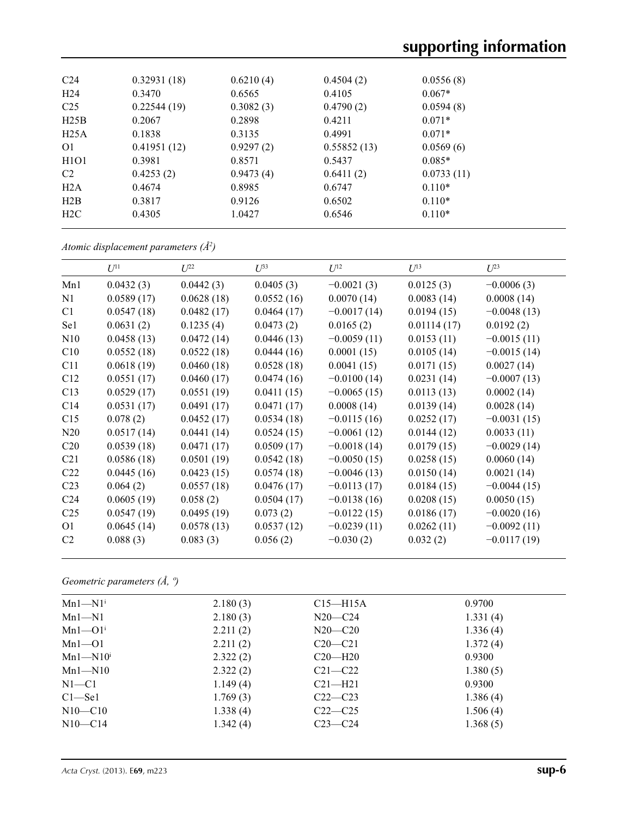| C <sub>24</sub>               | 0.32931(18) | 0.6210(4) | 0.4504(2)   | 0.0556(8)  |  |
|-------------------------------|-------------|-----------|-------------|------------|--|
| H <sub>24</sub>               | 0.3470      | 0.6565    | 0.4105      | $0.067*$   |  |
| C <sub>25</sub>               | 0.22544(19) | 0.3082(3) | 0.4790(2)   | 0.0594(8)  |  |
| H25B                          | 0.2067      | 0.2898    | 0.4211      | $0.071*$   |  |
| H25A                          | 0.1838      | 0.3135    | 0.4991      | $0.071*$   |  |
| O <sub>1</sub>                | 0.41951(12) | 0.9297(2) | 0.55852(13) | 0.0569(6)  |  |
| H <sub>1</sub> O <sub>1</sub> | 0.3981      | 0.8571    | 0.5437      | $0.085*$   |  |
| C <sub>2</sub>                | 0.4253(2)   | 0.9473(4) | 0.6411(2)   | 0.0733(11) |  |
| H2A                           | 0.4674      | 0.8985    | 0.6747      | $0.110*$   |  |
| H2B                           | 0.3817      | 0.9126    | 0.6502      | $0.110*$   |  |
| H2C                           | 0.4305      | 1.0427    | 0.6546      | $0.110*$   |  |
|                               |             |           |             |            |  |

*Atomic displacement parameters (Å2 )*

|                 | $U^{11}$   | I/22       | $\mathcal{L}^{\beta 3}$ | $U^{12}$      | $U^{13}$    | $U^{23}$      |
|-----------------|------------|------------|-------------------------|---------------|-------------|---------------|
| Mn1             | 0.0432(3)  | 0.0442(3)  | 0.0405(3)               | $-0.0021(3)$  | 0.0125(3)   | $-0.0006(3)$  |
| N <sub>1</sub>  | 0.0589(17) | 0.0628(18) | 0.0552(16)              | 0.0070(14)    | 0.0083(14)  | 0.0008(14)    |
| C <sub>1</sub>  | 0.0547(18) | 0.0482(17) | 0.0464(17)              | $-0.0017(14)$ | 0.0194(15)  | $-0.0048(13)$ |
| Se1             | 0.0631(2)  | 0.1235(4)  | 0.0473(2)               | 0.0165(2)     | 0.01114(17) | 0.0192(2)     |
| N10             | 0.0458(13) | 0.0472(14) | 0.0446(13)              | $-0.0059(11)$ | 0.0153(11)  | $-0.0015(11)$ |
| C10             | 0.0552(18) | 0.0522(18) | 0.0444(16)              | 0.0001(15)    | 0.0105(14)  | $-0.0015(14)$ |
| C11             | 0.0618(19) | 0.0460(18) | 0.0528(18)              | 0.0041(15)    | 0.0171(15)  | 0.0027(14)    |
| C12             | 0.0551(17) | 0.0460(17) | 0.0474(16)              | $-0.0100(14)$ | 0.0231(14)  | $-0.0007(13)$ |
| C13             | 0.0529(17) | 0.0551(19) | 0.0411(15)              | $-0.0065(15)$ | 0.0113(13)  | 0.0002(14)    |
| C14             | 0.0531(17) | 0.0491(17) | 0.0471(17)              | 0.0008(14)    | 0.0139(14)  | 0.0028(14)    |
| C15             | 0.078(2)   | 0.0452(17) | 0.0534(18)              | $-0.0115(16)$ | 0.0252(17)  | $-0.0031(15)$ |
| N20             | 0.0517(14) | 0.0441(14) | 0.0524(15)              | $-0.0061(12)$ | 0.0144(12)  | 0.0033(11)    |
| C <sub>20</sub> | 0.0539(18) | 0.0471(17) | 0.0509(17)              | $-0.0018(14)$ | 0.0179(15)  | $-0.0029(14)$ |
| C <sub>21</sub> | 0.0586(18) | 0.0501(19) | 0.0542(18)              | $-0.0050(15)$ | 0.0258(15)  | 0.0060(14)    |
| C <sub>22</sub> | 0.0445(16) | 0.0423(15) | 0.0574(18)              | $-0.0046(13)$ | 0.0150(14)  | 0.0021(14)    |
| C <sub>23</sub> | 0.064(2)   | 0.0557(18) | 0.0476(17)              | $-0.0113(17)$ | 0.0184(15)  | $-0.0044(15)$ |
| C <sub>24</sub> | 0.0605(19) | 0.058(2)   | 0.0504(17)              | $-0.0138(16)$ | 0.0208(15)  | 0.0050(15)    |
| C <sub>25</sub> | 0.0547(19) | 0.0495(19) | 0.073(2)                | $-0.0122(15)$ | 0.0186(17)  | $-0.0020(16)$ |
| O <sub>1</sub>  | 0.0645(14) | 0.0578(13) | 0.0537(12)              | $-0.0239(11)$ | 0.0262(11)  | $-0.0092(11)$ |
| C <sub>2</sub>  | 0.088(3)   | 0.083(3)   | 0.056(2)                | $-0.030(2)$   | 0.032(2)    | $-0.0117(19)$ |

*Geometric parameters (Å, º)*

| $Mn1 - N1$ <sup>i</sup> | 2.180(3) | $C15 - H15A$ | 0.9700   |
|-------------------------|----------|--------------|----------|
| $Mn1 - N1$              | 2.180(3) | $N20 - C24$  | 1.331(4) |
| $Mn1 - O1$ <sup>i</sup> | 2.211(2) | $N20 - C20$  | 1.336(4) |
| $Mn1 - 01$              | 2.211(2) | $C20-C21$    | 1.372(4) |
| $Mn1 - N10i$            | 2.322(2) | $C20-H20$    | 0.9300   |
| $Mn1 - N10$             | 2.322(2) | $C21 - C22$  | 1.380(5) |
| $N1 - C1$               | 1.149(4) | $C21 - H21$  | 0.9300   |
| $C1 - Se1$              | 1.769(3) | $C22-C23$    | 1.386(4) |
| $N10 - C10$             | 1.338(4) | $C22-C25$    | 1.506(4) |
| $N10 - C14$             | 1.342(4) | $C23-C24$    | 1.368(5) |
|                         |          |              |          |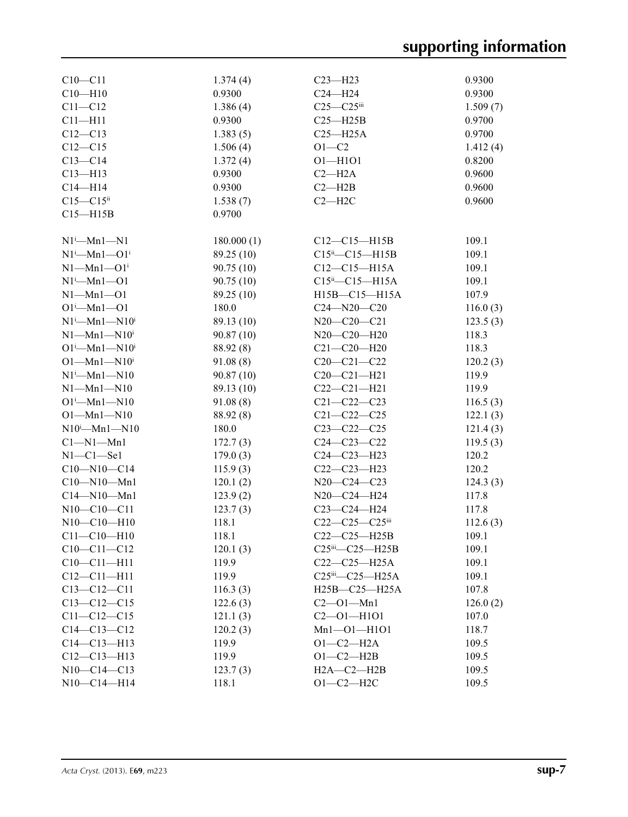| $C10 - C11$                     | 1.374(4)   | $C23 - H23$                        | 0.9300   |
|---------------------------------|------------|------------------------------------|----------|
| $C10 - H10$                     | 0.9300     | $C24 - H24$                        | 0.9300   |
| $C11 - C12$                     | 1.386(4)   | $C25-C25$ iii                      | 1.509(7) |
| $C11 - H11$                     | 0.9300     | $C25 - H25B$                       | 0.9700   |
| $C12 - C13$                     | 1.383(5)   | $C25 - H25A$                       | 0.9700   |
| $C12 - C15$                     | 1.506(4)   | $O1-C2$                            | 1.412(4) |
| $C13 - C14$                     | 1.372(4)   | $O1 - H1O1$                        | 0.8200   |
| $C13 - H13$                     | 0.9300     | $C2 - H2A$                         | 0.9600   |
| $C14 - H14$                     | 0.9300     | $C2 - H2B$                         | 0.9600   |
| $C15 - C15$ <sup>ii</sup>       | 1.538(7)   | $C2 - H2C$                         | 0.9600   |
| $C15 - H15B$                    | 0.9700     |                                    |          |
|                                 |            |                                    |          |
| $N1^i$ —Mn $1$ —N1              | 180.000(1) | $C12-C15-H15B$                     | 109.1    |
| $N1^i$ —Mn $1$ —O $1^i$         | 89.25 (10) | $C15^{ii} - C15 - H15B$            | 109.1    |
| $N1$ —Mn $1$ —O $1i$            | 90.75(10)  | $C12-C15-H15A$                     | 109.1    |
| $N1^i$ —Mn $1$ —O1              | 90.75(10)  | $C15^{\text{ii}} - C15 - H15A$     | 109.1    |
| $N1-Mn1-O1$                     | 89.25 (10) | H15B-C15-H15A                      | 107.9    |
| $O1^i$ —Mn $1$ —O1              | 180.0      | $C24 - N20 - C20$                  | 116.0(3) |
| $N1^i$ —Mn $1$ —N $10^i$        | 89.13 (10) | $N20-C20-C21$                      | 123.5(3) |
| $N1-Mn1-N10i$                   | 90.87(10)  | N20-C20-H20                        | 118.3    |
| $O1^{i}$ -Mn $1$ -N $10^{i}$    | 88.92 (8)  | $C21 - C20 - H20$                  | 118.3    |
| $O1 - Mn1 - N10i$               | 91.08(8)   | $C20-C21-C22$                      | 120.2(3) |
| $N1^i$ —Mn $1$ —N $10$          | 90.87(10)  | $C20 - C21 - H21$                  | 119.9    |
| $N1 - Mn1 - N10$                | 89.13 (10) | $C22-C21-H21$                      | 119.9    |
| $O1^{\text{i}}$ —Mn $1$ —N $10$ | 91.08(8)   | $C21 - C22 - C23$                  | 116.5(3) |
| $O1 - Mn1 - N10$                | 88.92 (8)  | $C21 - C22 - C25$                  | 122.1(3) |
| $N10^i$ —Mn1—N10                | 180.0      | $C23 - C22 - C25$                  | 121.4(3) |
| $Cl-M1-Mn1$                     | 172.7(3)   | $C24 - C23 - C22$                  | 119.5(3) |
| $N1-C1-$ Se1                    | 179.0(3)   | $C24 - C23 - H23$                  | 120.2    |
| $C10 - N10 - C14$               | 115.9(3)   | $C22-C23-H23$                      | 120.2    |
| $C10 - N10 - Mn1$               | 120.1(2)   | N20-C24-C23                        | 124.3(3) |
| $C14 - N10 - Mn1$               | 123.9(2)   | N20-C24-H24                        | 117.8    |
| $N10-C10-C11$                   | 123.7(3)   | C23-C24-H24                        | 117.8    |
| $N10-C10-H10$                   | 118.1      | C22-C25-C25iii                     | 112.6(3) |
| $C11 - C10 - H10$               | 118.1      | $C22-C25-H25B$                     | 109.1    |
| $C10-C11-C12$                   | 120.1(3)   | $C25$ <sup>iii</sup> — $C25$ —H25B | 109.1    |
| $C10-C11-H11$                   | 119.9      | $C22-C25-H25A$                     | 109.1    |
| $C12 - C11 - H11$               | 119.9      | C25iii-C25-H25A                    | 109.1    |
| $C13 - C12 - C11$               | 116.3(3)   | H25B-C25-H25A                      | 107.8    |
| $C13-C12-C15$                   | 122.6(3)   | $C2 - 01 - Mn1$                    | 126.0(2) |
| $C11 - C12 - C15$               | 121.1(3)   | $C2 - 01 - H101$                   | 107.0    |
| $C14 - C13 - C12$               | 120.2(3)   | $Mn1 - 01 - H101$                  | 118.7    |
| $C14 - C13 - H13$               | 119.9      | $O1-C2-H2A$                        | 109.5    |
| $C12-C13-H13$                   | 119.9      | $O1 - C2 - H2B$                    | 109.5    |
| N10-C14-C13                     | 123.7(3)   | $H2A - C2 - H2B$                   | 109.5    |
| N10-C14-H14                     |            | $O1-C2-H2C$                        |          |
|                                 | 118.1      |                                    | 109.5    |